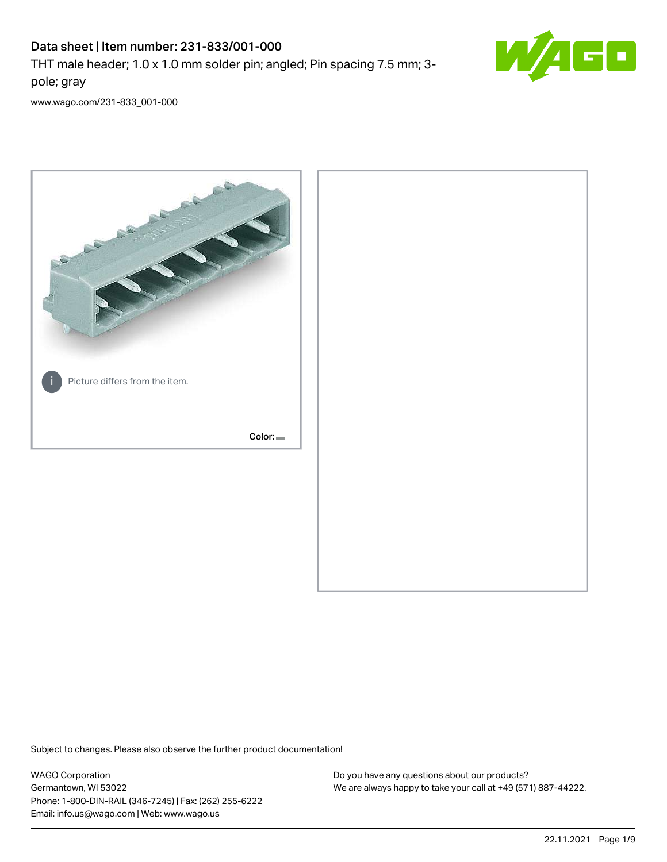# Data sheet | Item number: 231-833/001-000

THT male header; 1.0 x 1.0 mm solder pin; angled; Pin spacing 7.5 mm; 3 pole; gray



[www.wago.com/231-833\\_001-000](http://www.wago.com/231-833_001-000)



Subject to changes. Please also observe the further product documentation!

WAGO Corporation Germantown, WI 53022 Phone: 1-800-DIN-RAIL (346-7245) | Fax: (262) 255-6222 Email: info.us@wago.com | Web: www.wago.us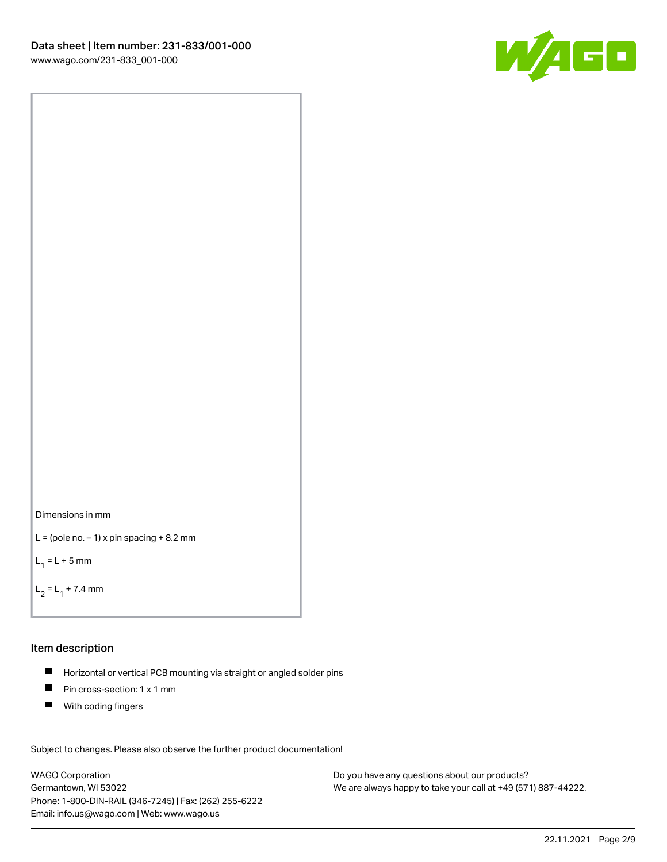



```
L = (pole no. -1) x pin spacing +8.2 mm
```
 $L_1 = L + 5$  mm

```
L_2 = L_1 + 7.4 mm
```
### Item description

- Horizontal or vertical PCB mounting via straight or angled solder pins  $\blacksquare$
- $\blacksquare$ Pin cross-section: 1 x 1 mm
- $\blacksquare$ With coding fingers

Subject to changes. Please also observe the further product documentation! Data

WAGO Corporation Germantown, WI 53022 Phone: 1-800-DIN-RAIL (346-7245) | Fax: (262) 255-6222 Email: info.us@wago.com | Web: www.wago.us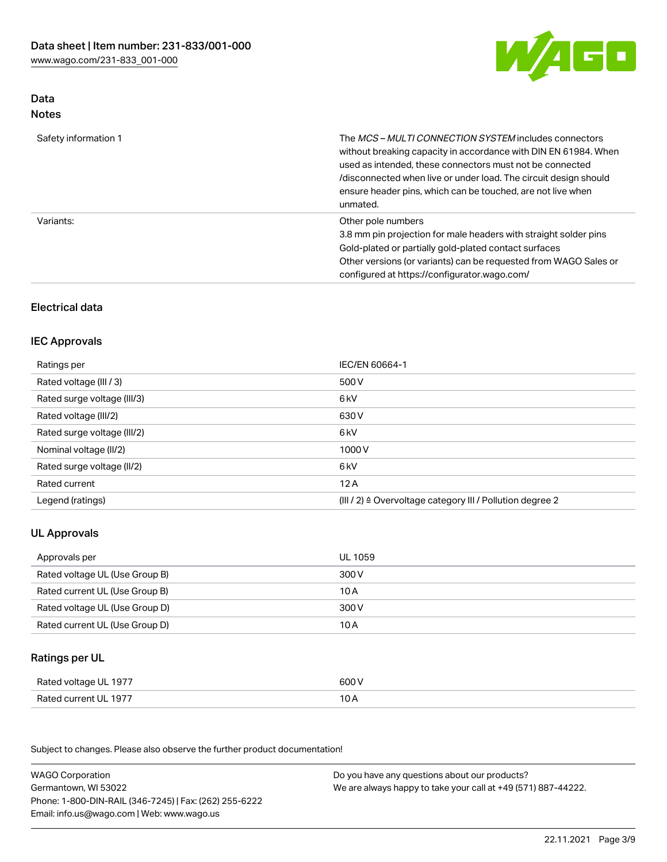

# Data Notes

| Safety information 1 | The <i>MCS – MULTI CONNECTION SYSTEM</i> includes connectors<br>without breaking capacity in accordance with DIN EN 61984. When<br>used as intended, these connectors must not be connected<br>/disconnected when live or under load. The circuit design should<br>ensure header pins, which can be touched, are not live when<br>unmated. |
|----------------------|--------------------------------------------------------------------------------------------------------------------------------------------------------------------------------------------------------------------------------------------------------------------------------------------------------------------------------------------|
| Variants:            | Other pole numbers<br>3.8 mm pin projection for male headers with straight solder pins<br>Gold-plated or partially gold-plated contact surfaces<br>Other versions (or variants) can be requested from WAGO Sales or<br>configured at https://configurator.wago.com/                                                                        |

# Electrical data

# IEC Approvals

| Ratings per                 | IEC/EN 60664-1                                                        |
|-----------------------------|-----------------------------------------------------------------------|
| Rated voltage (III / 3)     | 500 V                                                                 |
| Rated surge voltage (III/3) | 6 <sub>k</sub> V                                                      |
| Rated voltage (III/2)       | 630 V                                                                 |
| Rated surge voltage (III/2) | 6 kV                                                                  |
| Nominal voltage (II/2)      | 1000V                                                                 |
| Rated surge voltage (II/2)  | 6 kV                                                                  |
| Rated current               | 12A                                                                   |
| Legend (ratings)            | $(III / 2)$ $\triangle$ Overvoltage category III / Pollution degree 2 |

# UL Approvals

| Approvals per                  | UL 1059 |
|--------------------------------|---------|
| Rated voltage UL (Use Group B) | 300 V   |
| Rated current UL (Use Group B) | 10 A    |
| Rated voltage UL (Use Group D) | 300 V   |
| Rated current UL (Use Group D) | 10 A    |

## Ratings per UL

| Rated voltage UL 1977 | 600 V |
|-----------------------|-------|
| Rated current UL 1977 | 10 A  |

| <b>WAGO Corporation</b>                                | Do you have any questions about our products?                 |
|--------------------------------------------------------|---------------------------------------------------------------|
| Germantown, WI 53022                                   | We are always happy to take your call at +49 (571) 887-44222. |
| Phone: 1-800-DIN-RAIL (346-7245)   Fax: (262) 255-6222 |                                                               |
| Email: info.us@wago.com   Web: www.wago.us             |                                                               |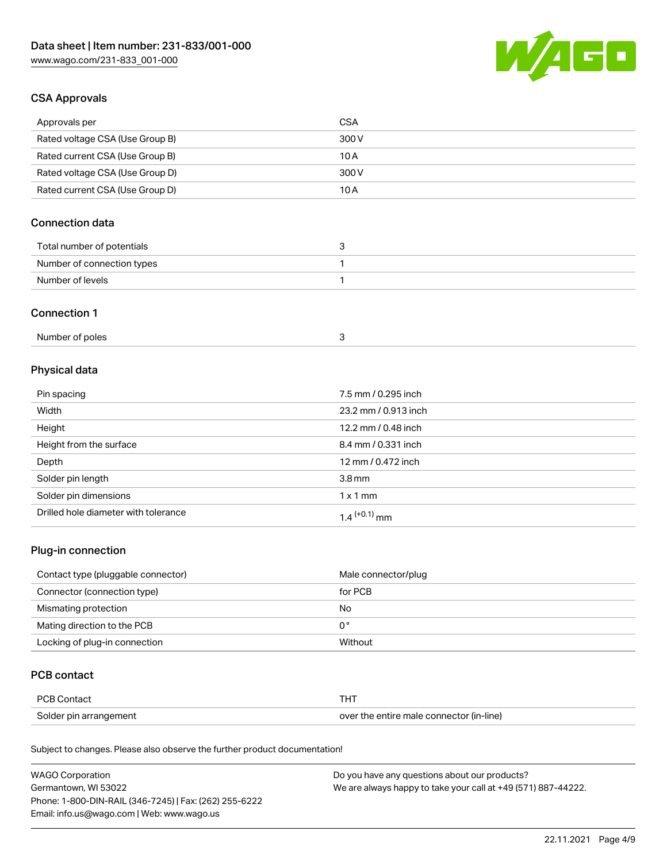

# CSA Approvals

| Approvals per                   | CSA   |
|---------------------------------|-------|
| Rated voltage CSA (Use Group B) | 300 V |
| Rated current CSA (Use Group B) | 10 A  |
| Rated voltage CSA (Use Group D) | 300 V |
| Rated current CSA (Use Group D) | 10 A  |

# Connection data

| Total number of potentials |  |
|----------------------------|--|
| Number of connection types |  |
| Number of levels           |  |

#### Connection 1

| Number of poles |  |
|-----------------|--|
|-----------------|--|

# Physical data

| Pin spacing                          | 7.5 mm / 0.295 inch  |
|--------------------------------------|----------------------|
| Width                                | 23.2 mm / 0.913 inch |
| Height                               | 12.2 mm / 0.48 inch  |
| Height from the surface              | 8.4 mm / 0.331 inch  |
| Depth                                | 12 mm / 0.472 inch   |
| Solder pin length                    | 3.8 <sub>mm</sub>    |
| Solder pin dimensions                | $1 \times 1$ mm      |
| Drilled hole diameter with tolerance | $1.4$ $(+0.1)$ mm    |

# Plug-in connection

| Contact type (pluggable connector) | Male connector/plug |
|------------------------------------|---------------------|
| Connector (connection type)        | for PCB             |
| Mismating protection               | No                  |
| Mating direction to the PCB        | 0°                  |
| Locking of plug-in connection      | Without             |

# PCB contact

| PCB Contact            | тнт                                      |
|------------------------|------------------------------------------|
| Solder pin arrangement | over the entire male connector (in-line) |

| <b>WAGO Corporation</b>                                | Do you have any questions about our products?                 |
|--------------------------------------------------------|---------------------------------------------------------------|
| Germantown, WI 53022                                   | We are always happy to take your call at +49 (571) 887-44222. |
| Phone: 1-800-DIN-RAIL (346-7245)   Fax: (262) 255-6222 |                                                               |
| Email: info.us@wago.com   Web: www.wago.us             |                                                               |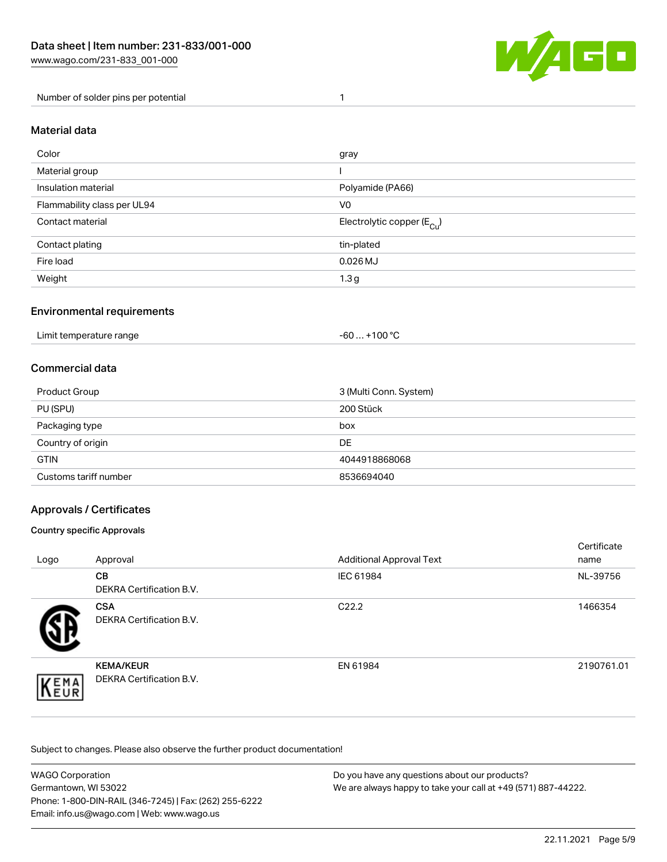

Number of solder pins per potential 1

## Material data

| Color                       | gray                                    |
|-----------------------------|-----------------------------------------|
| Material group              |                                         |
| Insulation material         | Polyamide (PA66)                        |
| Flammability class per UL94 | V <sub>0</sub>                          |
| Contact material            | Electrolytic copper ( $E_{\text{Cu}}$ ) |
| Contact plating             | tin-plated                              |
| Fire load                   | $0.026$ MJ                              |
| Weight                      | 1.3 <sub>g</sub>                        |

## Environmental requirements

Limit temperature range  $-60... +100$  °C

## Commercial data

| Product Group         | 3 (Multi Conn. System) |
|-----------------------|------------------------|
| PU (SPU)              | 200 Stück              |
| Packaging type        | box                    |
| Country of origin     | DE                     |
| <b>GTIN</b>           | 4044918868068          |
| Customs tariff number | 8536694040             |

## Approvals / Certificates

#### Country specific Approvals

| Logo               | Approval                                            | <b>Additional Approval Text</b> | Certificate<br>name |
|--------------------|-----------------------------------------------------|---------------------------------|---------------------|
|                    | <b>CB</b><br><b>DEKRA Certification B.V.</b>        | IEC 61984                       | NL-39756            |
|                    | <b>CSA</b><br>DEKRA Certification B.V.              | C <sub>22.2</sub>               | 1466354             |
| EMA<br><b>NEUR</b> | <b>KEMA/KEUR</b><br><b>DEKRA Certification B.V.</b> | EN 61984                        | 2190761.01          |

| <b>WAGO Corporation</b>                                | Do you have any questions about our products?                 |
|--------------------------------------------------------|---------------------------------------------------------------|
| Germantown, WI 53022                                   | We are always happy to take your call at +49 (571) 887-44222. |
| Phone: 1-800-DIN-RAIL (346-7245)   Fax: (262) 255-6222 |                                                               |
| Email: info.us@wago.com   Web: www.wago.us             |                                                               |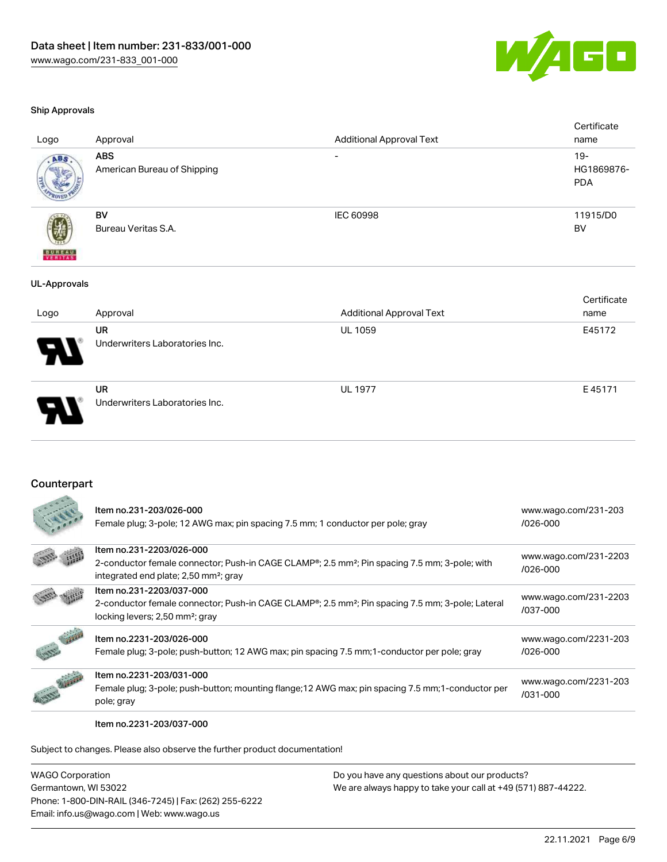

#### Ship Approvals

|                          | $ -$                                      | .                               | _ _ _ _ _                          |
|--------------------------|-------------------------------------------|---------------------------------|------------------------------------|
| Logo                     | Approval                                  | <b>Additional Approval Text</b> | Certificate<br>name                |
| <b>UL-Approvals</b>      |                                           |                                 |                                    |
| <b>BUREAU</b><br>VERITAS | BV<br>Bureau Veritas S.A.                 | <b>IEC 60998</b>                | 11915/D0<br><b>BV</b>              |
| ABS.                     | <b>ABS</b><br>American Bureau of Shipping | $\overline{\phantom{a}}$        | $19 -$<br>HG1869876-<br><b>PDA</b> |
| Logo                     | Approval                                  | <b>Additional Approval Text</b> | Certificate<br>name                |

|                            | <b>UR</b>                      | <b>UL 1059</b> | E45172 |
|----------------------------|--------------------------------|----------------|--------|
| $\boldsymbol{\mathcal{A}}$ | Underwriters Laboratories Inc. |                |        |
|                            |                                |                |        |
|                            | <b>UR</b>                      | <b>UL 1977</b> | E45171 |
|                            | Underwriters Laboratories Inc. |                |        |
|                            |                                |                |        |

#### Counterpart

|                 | Item no.231-203/026-000<br>Female plug; 3-pole; 12 AWG max; pin spacing 7.5 mm; 1 conductor per pole; gray                                                                                              | www.wago.com/231-203<br>$1026 - 000$  |
|-----------------|---------------------------------------------------------------------------------------------------------------------------------------------------------------------------------------------------------|---------------------------------------|
|                 | Item no.231-2203/026-000<br>2-conductor female connector; Push-in CAGE CLAMP <sup>®</sup> ; 2.5 mm <sup>2</sup> ; Pin spacing 7.5 mm; 3-pole; with<br>integrated end plate; 2,50 mm <sup>2</sup> ; gray | www.wago.com/231-2203<br>$1026 - 000$ |
|                 | Item no.231-2203/037-000<br>2-conductor female connector; Push-in CAGE CLAMP <sup>®</sup> ; 2.5 mm <sup>2</sup> ; Pin spacing 7.5 mm; 3-pole; Lateral<br>locking levers; 2,50 mm <sup>2</sup> ; gray    | www.wago.com/231-2203<br>/037-000     |
|                 | Item no.2231-203/026-000<br>Female plug; 3-pole; push-button; 12 AWG max; pin spacing 7.5 mm; 1-conductor per pole; gray                                                                                | www.wago.com/2231-203<br>$1026 - 000$ |
| <b>Contract</b> | Item no.2231-203/031-000<br>Female plug; 3-pole; push-button; mounting flange; 12 AWG max; pin spacing 7.5 mm; 1-conductor per<br>pole; gray                                                            | www.wago.com/2231-203<br>/031-000     |

Item no.2231-203/037-000

Subject to changes. Please also observe the further product documentation!

WAGO Corporation Germantown, WI 53022 Phone: 1-800-DIN-RAIL (346-7245) | Fax: (262) 255-6222 Email: info.us@wago.com | Web: www.wago.us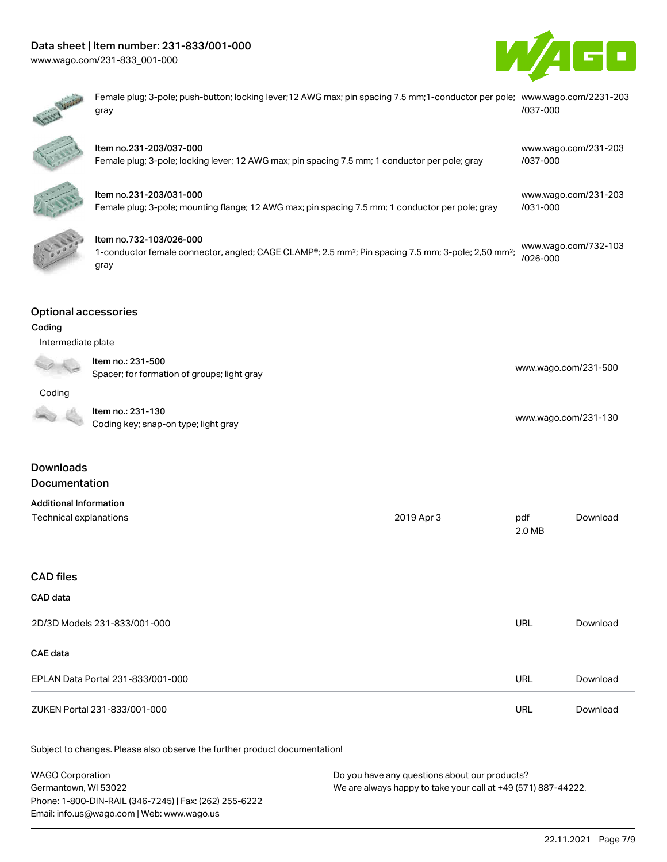# Data sheet | Item number: 231-833/001-000





| www.wago.com/231-833 001-000                                                                                                                                   |                                  |
|----------------------------------------------------------------------------------------------------------------------------------------------------------------|----------------------------------|
| Female plug; 3-pole; push-button; locking lever; 12 AWG max; pin spacing 7.5 mm; 1-conductor per pole; www.wago.com/2231-203<br>gray                           | /037-000                         |
| Item no.231-203/037-000<br>Female plug; 3-pole; locking lever; 12 AWG max; pin spacing 7.5 mm; 1 conductor per pole; gray                                      | www.wago.com/231-203<br>/037-000 |
| Item no.231-203/031-000<br>Female plug; 3-pole; mounting flange; 12 AWG max; pin spacing 7.5 mm; 1 conductor per pole; gray                                    | www.wago.com/231-203<br>/031-000 |
| Item no.732-103/026-000<br>1-conductor female connector, angled; CAGE CLAMP®; 2.5 mm <sup>2</sup> ; Pin spacing 7.5 mm; 3-pole; 2,50 mm <sup>2</sup> ;<br>gray | www.wago.com/732-103<br>/026-000 |

## Optional accessories

#### Coding

| Intermediate plate                                                                                                                                                                                                                                                                                                                                  |                                                                  |                      |
|-----------------------------------------------------------------------------------------------------------------------------------------------------------------------------------------------------------------------------------------------------------------------------------------------------------------------------------------------------|------------------------------------------------------------------|----------------------|
| $\begin{picture}(20,20) \put(0,0){\line(1,0){10}} \put(15,0){\line(1,0){10}} \put(15,0){\line(1,0){10}} \put(15,0){\line(1,0){10}} \put(15,0){\line(1,0){10}} \put(15,0){\line(1,0){10}} \put(15,0){\line(1,0){10}} \put(15,0){\line(1,0){10}} \put(15,0){\line(1,0){10}} \put(15,0){\line(1,0){10}} \put(15,0){\line(1,0){10}} \put(15,0){\line(1$ | Item no.: 231-500<br>Spacer; for formation of groups; light gray | www.wago.com/231-500 |
| Coding                                                                                                                                                                                                                                                                                                                                              |                                                                  |                      |
| <b>Contract Contract Contract</b>                                                                                                                                                                                                                                                                                                                   | Item no.: 231-130<br>Coding key; snap-on type; light gray        | www.wago.com/231-130 |

# Downloads

Documentation

# Additional Information

| Auditional Information |            |        |          |
|------------------------|------------|--------|----------|
| Technical explanations | 2019 Apr 3 | pdf    | Download |
|                        |            | 2.0 MB |          |

#### CAD files

# CAD data

| 2D/3D Models 231-833/001-000      | URL | Download |
|-----------------------------------|-----|----------|
| <b>CAE data</b>                   |     |          |
| EPLAN Data Portal 231-833/001-000 | URL | Download |
| ZUKEN Portal 231-833/001-000      | URL | Download |

| <b>WAGO Corporation</b>                                | Do you have any questions about our products?                 |
|--------------------------------------------------------|---------------------------------------------------------------|
| Germantown, WI 53022                                   | We are always happy to take your call at +49 (571) 887-44222. |
| Phone: 1-800-DIN-RAIL (346-7245)   Fax: (262) 255-6222 |                                                               |
| Email: info.us@wago.com   Web: www.wago.us             |                                                               |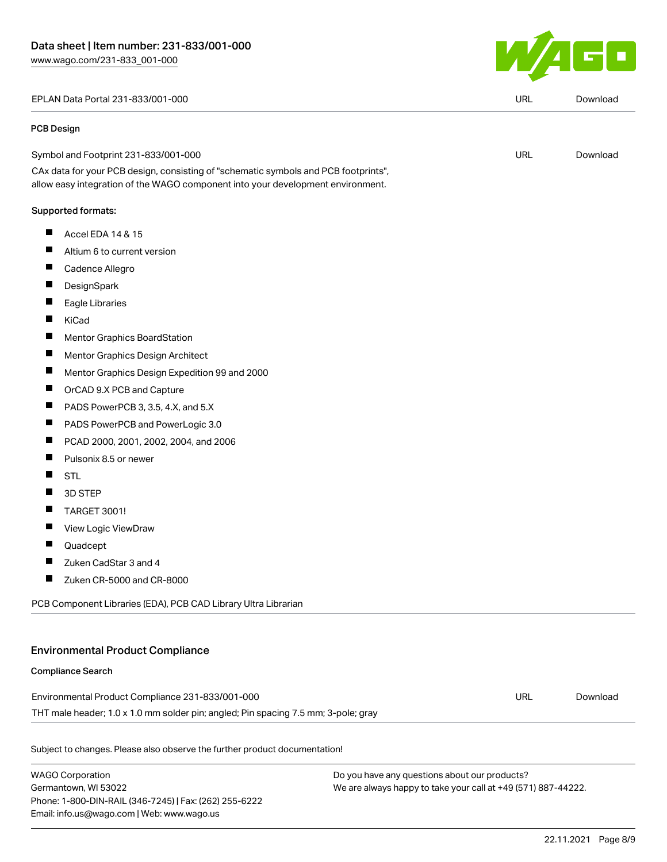#### EPLAN Data Portal 231-833/001-000 URL [Download](https://www.wago.com/global/d/EPLAN_URLS_231-833_001-000)

#### PCB Design

| Symbol and Footprint 231-833/001-000                                                | URL | Download |
|-------------------------------------------------------------------------------------|-----|----------|
| CAx data for your PCB design, consisting of "schematic symbols and PCB footprints", |     |          |

allow easy integration of the WAGO component into your development environment.

#### Supported formats:

- $\blacksquare$ Accel EDA 14 & 15
- $\blacksquare$ Altium 6 to current version
- П Cadence Allegro
- П **DesignSpark**
- П Eagle Libraries
- П KiCad
- $\blacksquare$ Mentor Graphics BoardStation
- $\blacksquare$ Mentor Graphics Design Architect
- Mentor Graphics Design Expedition 99 and 2000  $\blacksquare$
- $\blacksquare$ OrCAD 9.X PCB and Capture
- $\blacksquare$ PADS PowerPCB 3, 3.5, 4.X, and 5.X
- $\blacksquare$ PADS PowerPCB and PowerLogic 3.0
- П PCAD 2000, 2001, 2002, 2004, and 2006
- $\blacksquare$ Pulsonix 8.5 or newer
- $\blacksquare$ STL
- $\blacksquare$ 3D STEP
- $\blacksquare$ TARGET 3001!
- $\blacksquare$ View Logic ViewDraw
- $\blacksquare$ Quadcept
- $\blacksquare$ Zuken CadStar 3 and 4
- $\blacksquare$ Zuken CR-5000 and CR-8000

PCB Component Libraries (EDA), PCB CAD Library Ultra Librarian

#### Environmental Product Compliance

#### Compliance Search

Environmental Product Compliance 231-833/001-000 THT male header; 1.0 x 1.0 mm solder pin; angled; Pin spacing 7.5 mm; 3-pole; gray URL [Download](https://www.wago.com/global/d/ComplianceLinkMediaContainer_231-833_001-000)

Subject to changes. Please also observe the further product documentation!

WAGO Corporation Germantown, WI 53022 Phone: 1-800-DIN-RAIL (346-7245) | Fax: (262) 255-6222 Email: info.us@wago.com | Web: www.wago.us